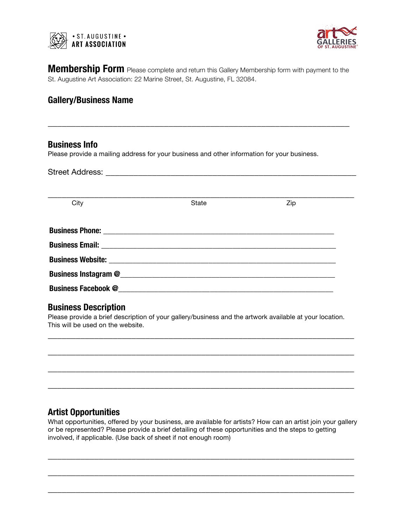



**Membership Form** Please complete and return this Gallery Membership form with payment to the St. Augustine Art Association: 22 Marine Street, St. Augustine, FL 32084.

\_\_\_\_\_\_\_\_\_\_\_\_\_\_\_\_\_\_\_\_\_\_\_\_\_\_\_\_\_\_\_\_\_\_\_\_\_\_\_\_\_\_\_\_\_\_\_\_\_\_\_\_\_\_\_\_\_\_\_\_\_\_\_\_\_

# **Gallery/Business Name**

### **Business Info**

Please provide a mailing address for your business and other information for your business.

Street Address: **Example 2018** 

| City | <b>State</b>                                                                                                                                                                                                                       | Zip |  |
|------|------------------------------------------------------------------------------------------------------------------------------------------------------------------------------------------------------------------------------------|-----|--|
|      |                                                                                                                                                                                                                                    |     |  |
|      |                                                                                                                                                                                                                                    |     |  |
|      |                                                                                                                                                                                                                                    |     |  |
|      |                                                                                                                                                                                                                                    |     |  |
|      |                                                                                                                                                                                                                                    |     |  |
|      | <b>Business Facebook @ Contract Contract Contract Contract Contract Contract Contract Contract Contract Contract Contract Contract Contract Contract Contract Contract Contract Contract Contract Contract Contract Contract C</b> |     |  |

# **Business Description**

Please provide a brief description of your gallery/business and the artwork available at your location. This will be used on the website.

\_\_\_\_\_\_\_\_\_\_\_\_\_\_\_\_\_\_\_\_\_\_\_\_\_\_\_\_\_\_\_\_\_\_\_\_\_\_\_\_\_\_\_\_\_\_\_\_\_\_\_\_\_\_\_\_\_\_\_\_\_\_\_\_\_\_

\_\_\_\_\_\_\_\_\_\_\_\_\_\_\_\_\_\_\_\_\_\_\_\_\_\_\_\_\_\_\_\_\_\_\_\_\_\_\_\_\_\_\_\_\_\_\_\_\_\_\_\_\_\_\_\_\_\_\_\_\_\_\_\_\_\_

\_\_\_\_\_\_\_\_\_\_\_\_\_\_\_\_\_\_\_\_\_\_\_\_\_\_\_\_\_\_\_\_\_\_\_\_\_\_\_\_\_\_\_\_\_\_\_\_\_\_\_\_\_\_\_\_\_\_\_\_\_\_\_\_\_\_

\_\_\_\_\_\_\_\_\_\_\_\_\_\_\_\_\_\_\_\_\_\_\_\_\_\_\_\_\_\_\_\_\_\_\_\_\_\_\_\_\_\_\_\_\_\_\_\_\_\_\_\_\_\_\_\_\_\_\_\_\_\_\_\_\_\_

# **Artist Opportunities**

What opportunities, offered by your business, are available for artists? How can an artist join your gallery or be represented? Please provide a brief detailing of these opportunities and the steps to getting involved, if applicable. (Use back of sheet if not enough room)

\_\_\_\_\_\_\_\_\_\_\_\_\_\_\_\_\_\_\_\_\_\_\_\_\_\_\_\_\_\_\_\_\_\_\_\_\_\_\_\_\_\_\_\_\_\_\_\_\_\_\_\_\_\_\_\_\_\_\_\_\_\_\_\_\_\_

\_\_\_\_\_\_\_\_\_\_\_\_\_\_\_\_\_\_\_\_\_\_\_\_\_\_\_\_\_\_\_\_\_\_\_\_\_\_\_\_\_\_\_\_\_\_\_\_\_\_\_\_\_\_\_\_\_\_\_\_\_\_\_\_\_\_

\_\_\_\_\_\_\_\_\_\_\_\_\_\_\_\_\_\_\_\_\_\_\_\_\_\_\_\_\_\_\_\_\_\_\_\_\_\_\_\_\_\_\_\_\_\_\_\_\_\_\_\_\_\_\_\_\_\_\_\_\_\_\_\_\_\_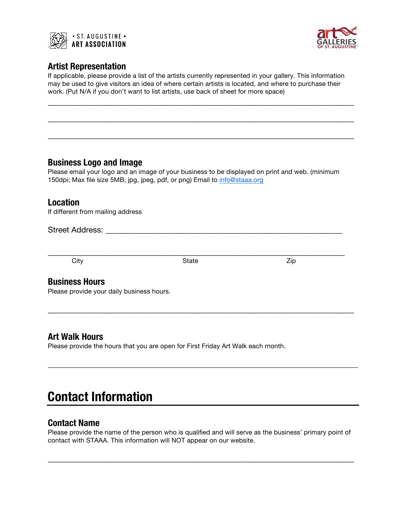



## **Artist Representation**

If applicable, please provide a list of the artists currently represented in your gallery. This information may be used to give visitors an idea of where certain artists is located, and where to purchase their work. (Put N/A if you don't want to list artists, use back of sheet for more space)

\_\_\_\_\_\_\_\_\_\_\_\_\_\_\_\_\_\_\_\_\_\_\_\_\_\_\_\_\_\_\_\_\_\_\_\_\_\_\_\_\_\_\_\_\_\_\_\_\_\_\_\_\_\_\_\_\_\_\_\_\_\_\_\_\_\_

\_\_\_\_\_\_\_\_\_\_\_\_\_\_\_\_\_\_\_\_\_\_\_\_\_\_\_\_\_\_\_\_\_\_\_\_\_\_\_\_\_\_\_\_\_\_\_\_\_\_\_\_\_\_\_\_\_\_\_\_\_\_\_\_\_\_

\_\_\_\_\_\_\_\_\_\_\_\_\_\_\_\_\_\_\_\_\_\_\_\_\_\_\_\_\_\_\_\_\_\_\_\_\_\_\_\_\_\_\_\_\_\_\_\_\_\_\_\_\_\_\_\_\_\_\_\_\_\_\_\_\_\_

## **Business Logo and Image**

Please email your logo and an image of your business to be displayed on print and web. (minimum 150dpi; Max file size 5MB; jpg, jpeg, pdf, or png) Email to info@staaa.org

## **Location**

If different from mailing address

#### Street Address: \_\_\_\_\_\_\_\_\_\_\_\_\_\_\_\_\_\_\_\_\_\_\_\_\_\_\_\_\_\_\_\_\_\_\_\_\_\_\_\_\_\_\_\_\_\_\_\_\_\_\_

\_\_\_\_\_\_\_\_\_\_\_\_\_\_\_\_\_\_\_\_\_\_\_\_\_\_\_\_\_\_\_\_\_\_\_\_\_\_\_\_\_\_\_\_\_\_\_\_\_\_\_\_\_\_\_\_\_\_\_\_\_\_\_\_ City State Zip

\_\_\_\_\_\_\_\_\_\_\_\_\_\_\_\_\_\_\_\_\_\_\_\_\_\_\_\_\_\_\_\_\_\_\_\_\_\_\_\_\_\_\_\_\_\_\_\_\_\_\_\_\_\_\_\_\_\_\_\_\_\_\_\_\_\_

\_\_\_\_\_\_\_\_\_\_\_\_\_\_\_\_\_\_\_\_\_\_\_\_\_\_\_\_\_\_\_\_\_\_\_\_\_\_\_\_\_\_\_\_\_\_\_\_\_\_\_\_\_\_\_\_\_\_\_\_\_\_\_\_\_\_\_\_\_\_\_\_\_\_\_\_\_\_

### **Business Hours**

Please provide your daily business hours.

# **Art Walk Hours**

Please provide the hours that you are open for First Friday Art Walk each month.

# **Contact Information**

# **Contact Name**

Please provide the name of the person who is qualified and will serve as the business' primary point of contact with STAAA. This information will NOT appear on our website.

\_\_\_\_\_\_\_\_\_\_\_\_\_\_\_\_\_\_\_\_\_\_\_\_\_\_\_\_\_\_\_\_\_\_\_\_\_\_\_\_\_\_\_\_\_\_\_\_\_\_\_\_\_\_\_\_\_\_\_\_\_\_\_\_\_\_